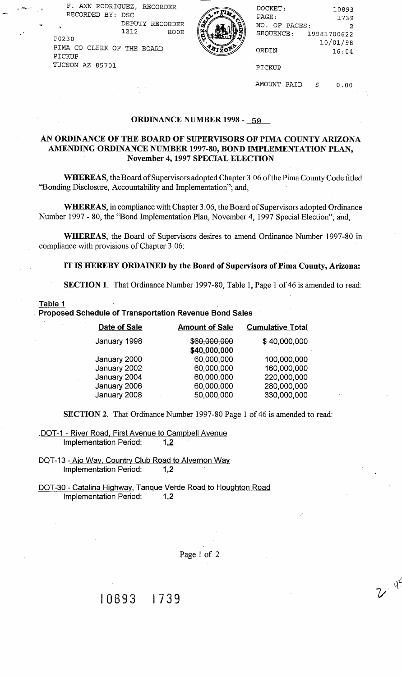**F. ANN RODRIGUEZ, RECORDER -2** RECORDED BY: DSC DEPUTY RECORDER<br>1212 ROOE  $\begin{pmatrix} 1 & 1 & 1 & 1 & 1 \ 1 & 1 & 1 & 1 \end{pmatrix}$  ROOE  $\begin{pmatrix} 2 & 3 & 1 & 1 \ 1 & 1 & 1 & 1 \ 1 & 1 & 1 & 1 \end{pmatrix}$  SEQUENCE: 19981700622 PO230  $\sqrt{2}$  10/01/98 PIMA CO CLERK OF THE BOARD



| F. ANN RODRIGUEZ, RECORDER |          | DOCKET:       | 10893       |
|----------------------------|----------|---------------|-------------|
| RECORDED BY: DSC           | - Рід. - | PAGE:         | 1739        |
| DEPUTY RECORDER<br>÷.      |          | NO. OF PAGES: |             |
| 1212<br><b>ROOE</b>        |          | SEQUENCE:     | 19981700622 |
| P0230                      |          |               | 10/01/98    |
| PIMA CO CLERK OF THE BOARD |          | ORDIN         | 16:04       |
| PICKUP                     |          |               |             |
| TUCSON AZ 85701            |          | PICKUP        |             |

AMOUNT PAID \$ 0.00

 $y^2$ 

#### **ORDINANCE NUMBER 1998** - **59**

### AN ORDINANCE OF THE BOARD OF SUPERVISORS OF PIMA COUNTY ARIZONA **AMENDING ORDINANCE NUMBER 1997-80, BOND IMPLEMENTATION PLAN, November 4,1997 SPECIAL ELECTION**

**WHEREAS,** the Board of Supervisors adopted Chapter 3.06 of the Pirna County Code titled "Bonding Disclosure, Accountability and Implementation"; and,

**WHEREAS,** in compliance with Chapter 3.06, the Board of Supervisors adopted Ordinance Number 1997 - 80, the 'Bond Implementation Plan, November 4, 1997 Special Election"; and,

**WHEREAS,** the Board of Supervisors desires to amend Ordinance Number 1997-80 in compliance with provisions of Chapter 3.06:

#### **IT IS HEREBY ORDAINED by the Board of Supervisors of Pima County, Arizona:**

SECTION 1. That Ordinance Number 1997-80, Table 1, Page 1 of 46 is amended to read:

#### **Table 1**

**Proposed Schedule of Transportation Revenue Bond Sales** 

| Date of Sale                                                                 | <b>Amount of Sale</b>                                              | <b>Cumulative Total</b>                                                 |
|------------------------------------------------------------------------------|--------------------------------------------------------------------|-------------------------------------------------------------------------|
| January 1998                                                                 | \$60,000,000<br>\$40,000,000                                       | \$40,000,000                                                            |
| January 2000<br>January 2002<br>January 2004<br>January 2006<br>January 2008 | 60,000,000<br>60,000,000<br>60,000,000<br>60,000,000<br>50,000,000 | 100,000,000<br>160,000,000<br>220,000,000<br>280,000,000<br>330,000,000 |
|                                                                              |                                                                    |                                                                         |

**SECTION 2.** That Ordinance Number 1997-80 Page 1 of 46 is amended to read:

.DOT-1 - River Road, First Avenue to Campbell Avenue Implementation Period:  $1,2$ 

DOT-13 - Ajo Way, Country Club Road to Alvernon Way Implementation Period:  $1,2$ 

DOT-30 - Catalina Highway, Tanque Verde Road to Houghton Road Implementation Period:  $1,2$ 

Page 1 of 2

## I0893 1739